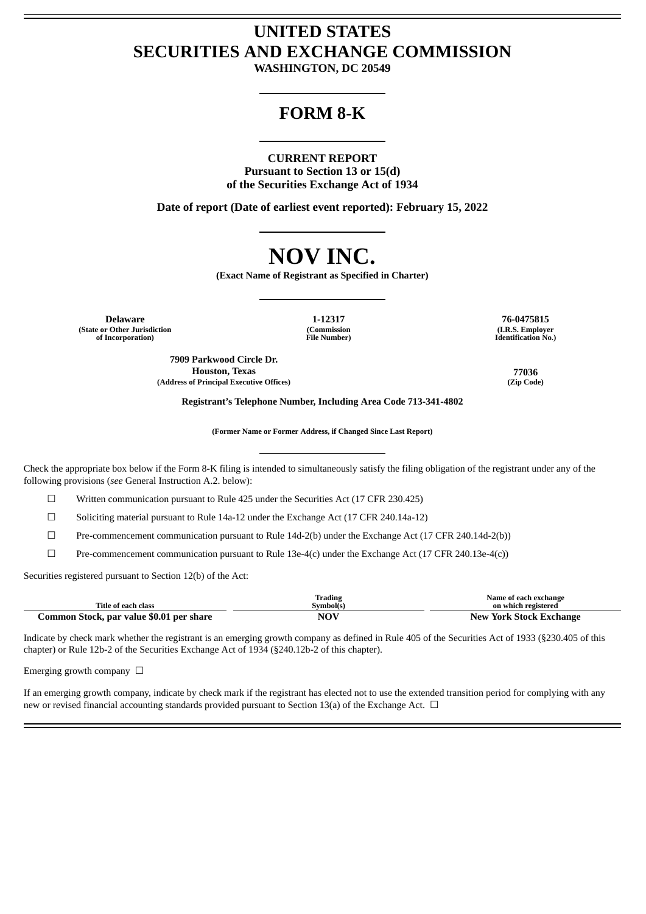# **UNITED STATES SECURITIES AND EXCHANGE COMMISSION**

**WASHINGTON, DC 20549**

# **FORM 8-K**

#### **CURRENT REPORT**

**Pursuant to Section 13 or 15(d) of the Securities Exchange Act of 1934**

**Date of report (Date of earliest event reported): February 15, 2022**

# **NOV INC.**

**(Exact Name of Registrant as Specified in Charter)**

**Delaware 1-12317 76-0475815 (State or Other Jurisdiction of Incorporation)**

**(Commission File Number)**

**(I.R.S. Employer Identification No.)**

**7909 Parkwood Circle Dr. Houston, Texas 77036 (Address of Principal Executive Offices) (Zip Code)**

**Registrant's Telephone Number, Including Area Code 713-341-4802**

**(Former Name or Former Address, if Changed Since Last Report)**

Check the appropriate box below if the Form 8-K filing is intended to simultaneously satisfy the filing obligation of the registrant under any of the following provisions (*see* General Instruction A.2. below):

☐ Written communication pursuant to Rule 425 under the Securities Act (17 CFR 230.425)

 $\Box$  Soliciting material pursuant to Rule 14a-12 under the Exchange Act (17 CFR 240.14a-12)

☐ Pre-commencement communication pursuant to Rule 14d-2(b) under the Exchange Act (17 CFR 240.14d-2(b))

 $\Box$  Pre-commencement communication pursuant to Rule 13e-4(c) under the Exchange Act (17 CFR 240.13e-4(c))

Securities registered pursuant to Section 12(b) of the Act:

|                                          | Trading         | Name of each exchange                   |
|------------------------------------------|-----------------|-----------------------------------------|
| Title of each class                      | Symbol(s)       | on which registered                     |
| Common Stock, par value \$0.01 per share | NO <sup>V</sup> | New<br><sup>7</sup> York Stock Exchange |

Indicate by check mark whether the registrant is an emerging growth company as defined in Rule 405 of the Securities Act of 1933 (§230.405 of this chapter) or Rule 12b-2 of the Securities Exchange Act of 1934 (§240.12b-2 of this chapter).

Emerging growth company  $\Box$ 

If an emerging growth company, indicate by check mark if the registrant has elected not to use the extended transition period for complying with any new or revised financial accounting standards provided pursuant to Section 13(a) of the Exchange Act. □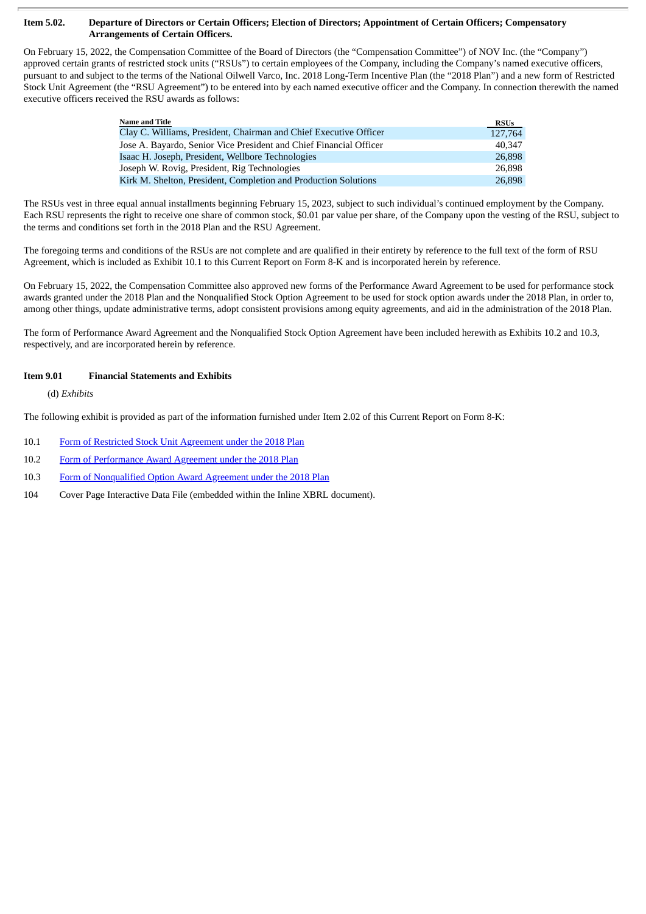#### Item 5.02. Departure of Directors or Certain Officers; Election of Directors; Appointment of Certain Officers; Compensatory **Arrangements of Certain Officers.**

On February 15, 2022, the Compensation Committee of the Board of Directors (the "Compensation Committee") of NOV Inc. (the "Company") approved certain grants of restricted stock units ("RSUs") to certain employees of the Company, including the Company's named executive officers, pursuant to and subject to the terms of the National Oilwell Varco, Inc. 2018 Long-Term Incentive Plan (the "2018 Plan") and a new form of Restricted Stock Unit Agreement (the "RSU Agreement") to be entered into by each named executive officer and the Company. In connection therewith the named executive officers received the RSU awards as follows:

| <b>Name and Title</b>                                              | <b>RSUs</b> |
|--------------------------------------------------------------------|-------------|
| Clay C. Williams, President, Chairman and Chief Executive Officer  | 127,764     |
| Jose A. Bayardo, Senior Vice President and Chief Financial Officer | 40.347      |
| Isaac H. Joseph, President, Wellbore Technologies                  | 26,898      |
| Joseph W. Rovig, President, Rig Technologies                       | 26.898      |
| Kirk M. Shelton, President, Completion and Production Solutions    | 26,898      |

The RSUs vest in three equal annual installments beginning February 15, 2023, subject to such individual's continued employment by the Company. Each RSU represents the right to receive one share of common stock, \$0.01 par value per share, of the Company upon the vesting of the RSU, subject to the terms and conditions set forth in the 2018 Plan and the RSU Agreement.

The foregoing terms and conditions of the RSUs are not complete and are qualified in their entirety by reference to the full text of the form of RSU Agreement, which is included as Exhibit 10.1 to this Current Report on Form 8-K and is incorporated herein by reference.

On February 15, 2022, the Compensation Committee also approved new forms of the Performance Award Agreement to be used for performance stock awards granted under the 2018 Plan and the Nonqualified Stock Option Agreement to be used for stock option awards under the 2018 Plan, in order to, among other things, update administrative terms, adopt consistent provisions among equity agreements, and aid in the administration of the 2018 Plan.

The form of Performance Award Agreement and the Nonqualified Stock Option Agreement have been included herewith as Exhibits 10.2 and 10.3, respectively, and are incorporated herein by reference.

## **Item 9.01 Financial Statements and Exhibits**

(d) *Exhibits*

The following exhibit is provided as part of the information furnished under Item 2.02 of this Current Report on Form 8-K:

- 10.1 Form of Restricted Stock Unit [Agreement](#page-3-0) under the 2018 Plan
- 10.2 Form of [Performance](#page-9-0) Award Agreement under the 2018 Plan
- 10.3 Form of [Nonqualified](#page-17-0) Option Award Agreement under the 2018 Plan
- 104 Cover Page Interactive Data File (embedded within the Inline XBRL document).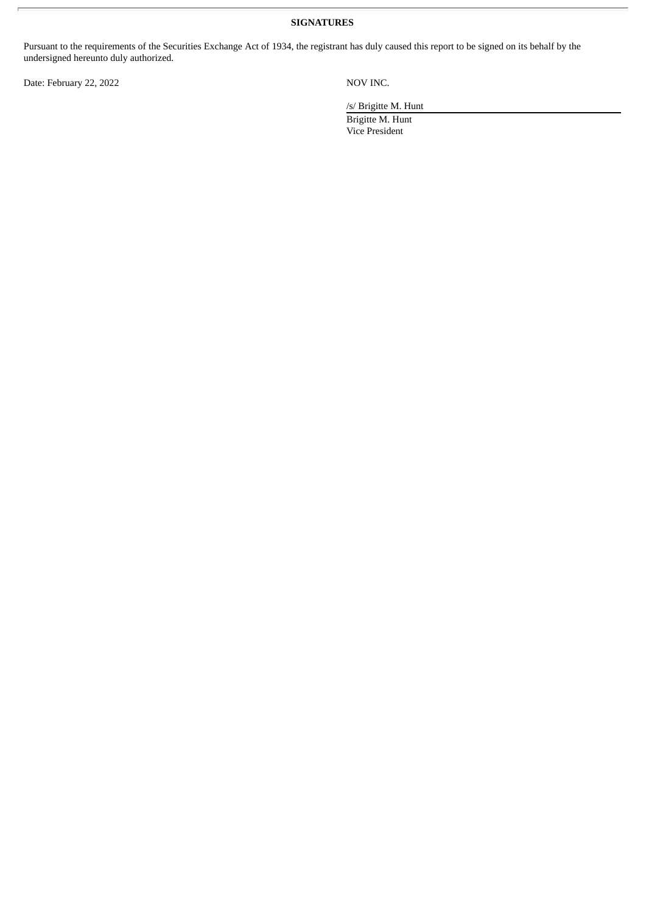**SIGNATURES**

Pursuant to the requirements of the Securities Exchange Act of 1934, the registrant has duly caused this report to be signed on its behalf by the undersigned hereunto duly authorized.

Date: February 22, 2022 NOV INC.

/s/ Brigitte M. Hunt

Brigitte M. Hunt Vice President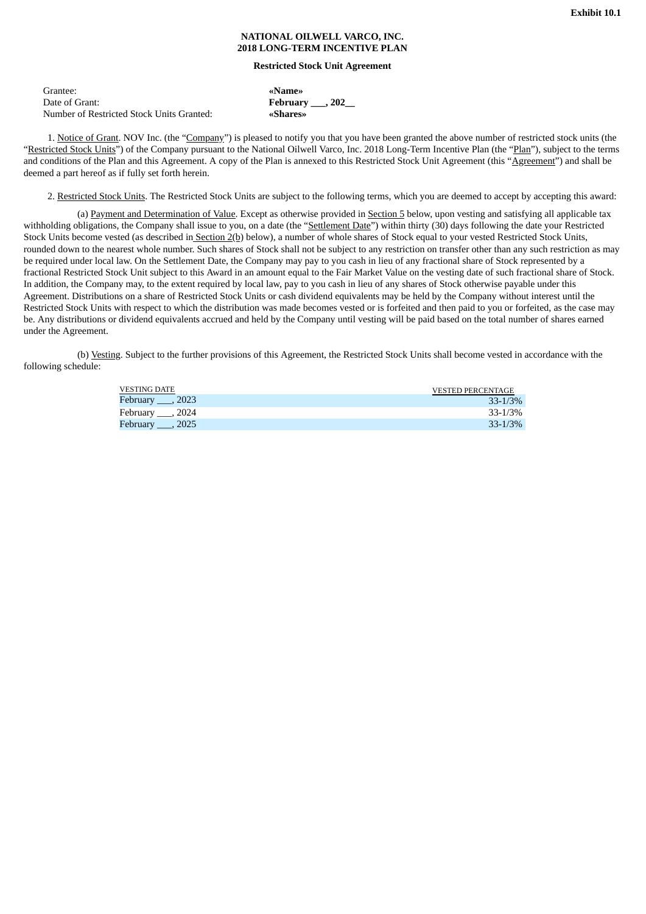#### **NATIONAL OILWELL VARCO, INC. 2018 LONG-TERM INCENTIVE PLAN**

#### **Restricted Stock Unit Agreement**

 $February 202$ 

Grantee: **«Name»**

Number of Restricted Stock Units Granted: **«Shares»**

<span id="page-3-0"></span>

| Grantee:                                  |  |
|-------------------------------------------|--|
| Date of Grant:                            |  |
| Number of Restricted Stock Units Granted: |  |

1. Notice of Grant. NOV Inc. (the "Company") is pleased to notify you that you have been granted the above number of restricted stock units (the "Restricted Stock Units") of the Company pursuant to the National Oilwell Varco, Inc. 2018 Long-Term Incentive Plan (the "Plan"), subject to the terms and conditions of the Plan and this Agreement. A copy of the Plan is annexed to this Restricted Stock Unit Agreement (this "Agreement") and shall be deemed a part hereof as if fully set forth herein.

2. Restricted Stock Units. The Restricted Stock Units are subject to the following terms, which you are deemed to accept by accepting this award:

(a) Payment and Determination of Value. Except as otherwise provided in Section 5 below, upon vesting and satisfying all applicable tax withholding obligations, the Company shall issue to you, on a date (the "Settlement Date") within thirty (30) days following the date your Restricted Stock Units become vested (as described in Section 2(b) below), a number of whole shares of Stock equal to your vested Restricted Stock Units, rounded down to the nearest whole number. Such shares of Stock shall not be subject to any restriction on transfer other than any such restriction as may be required under local law. On the Settlement Date, the Company may pay to you cash in lieu of any fractional share of Stock represented by a fractional Restricted Stock Unit subject to this Award in an amount equal to the Fair Market Value on the vesting date of such fractional share of Stock. In addition, the Company may, to the extent required by local law, pay to you cash in lieu of any shares of Stock otherwise payable under this Agreement. Distributions on a share of Restricted Stock Units or cash dividend equivalents may be held by the Company without interest until the Restricted Stock Units with respect to which the distribution was made becomes vested or is forfeited and then paid to you or forfeited, as the case may be. Any distributions or dividend equivalents accrued and held by the Company until vesting will be paid based on the total number of shares earned under the Agreement.

(b) Vesting. Subject to the further provisions of this Agreement, the Restricted Stock Units shall become vested in accordance with the following schedule:

| VESTING DATE    | <b>VESTED PERCENTAGE</b> |
|-----------------|--------------------------|
| Eebruary , 2023 | $33 - 1/3%$              |
| Pebruary, 2024  | 33-1/3%                  |
| Eebruary 3025   | $33 - 1/3%$              |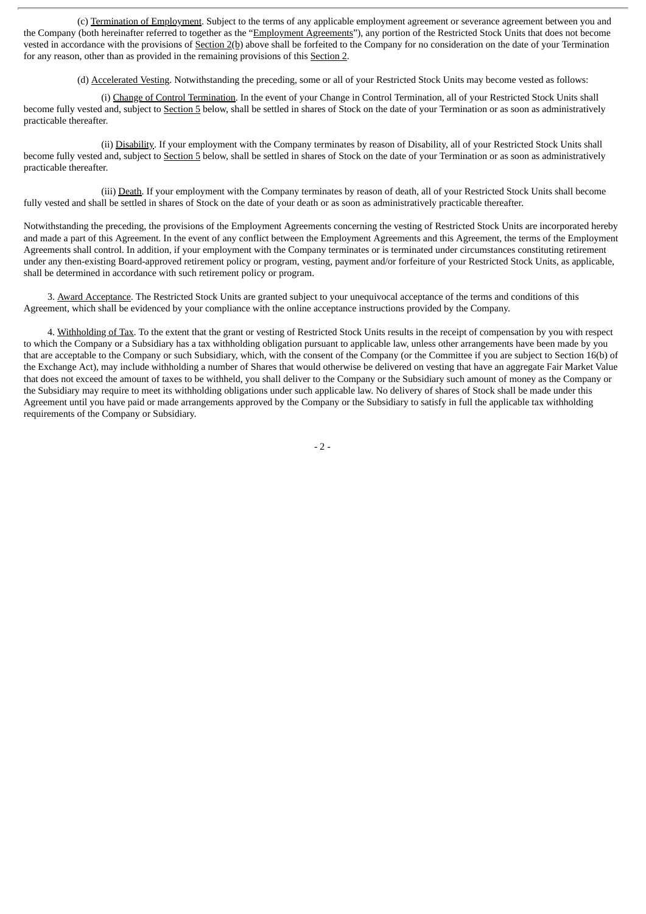(c) Termination of Employment. Subject to the terms of any applicable employment agreement or severance agreement between you and the Company (both hereinafter referred to together as the "Employment Agreements"), any portion of the Restricted Stock Units that does not become vested in accordance with the provisions of Section 2(b) above shall be forfeited to the Company for no consideration on the date of your Termination for any reason, other than as provided in the remaining provisions of this Section 2.

(d) Accelerated Vesting. Notwithstanding the preceding, some or all of your Restricted Stock Units may become vested as follows:

(i) Change of Control Termination. In the event of your Change in Control Termination, all of your Restricted Stock Units shall become fully vested and, subject to Section 5 below, shall be settled in shares of Stock on the date of your Termination or as soon as administratively practicable thereafter.

(ii) Disability. If your employment with the Company terminates by reason of Disability, all of your Restricted Stock Units shall become fully vested and, subject to Section 5 below, shall be settled in shares of Stock on the date of your Termination or as soon as administratively practicable thereafter.

(iii) Death. If your employment with the Company terminates by reason of death, all of your Restricted Stock Units shall become fully vested and shall be settled in shares of Stock on the date of your death or as soon as administratively practicable thereafter.

Notwithstanding the preceding, the provisions of the Employment Agreements concerning the vesting of Restricted Stock Units are incorporated hereby and made a part of this Agreement. In the event of any conflict between the Employment Agreements and this Agreement, the terms of the Employment Agreements shall control. In addition, if your employment with the Company terminates or is terminated under circumstances constituting retirement under any then-existing Board-approved retirement policy or program, vesting, payment and/or forfeiture of your Restricted Stock Units, as applicable, shall be determined in accordance with such retirement policy or program.

3. Award Acceptance. The Restricted Stock Units are granted subject to your unequivocal acceptance of the terms and conditions of this Agreement, which shall be evidenced by your compliance with the online acceptance instructions provided by the Company.

4. Withholding of Tax. To the extent that the grant or vesting of Restricted Stock Units results in the receipt of compensation by you with respect to which the Company or a Subsidiary has a tax withholding obligation pursuant to applicable law, unless other arrangements have been made by you that are acceptable to the Company or such Subsidiary, which, with the consent of the Company (or the Committee if you are subject to Section 16(b) of the Exchange Act), may include withholding a number of Shares that would otherwise be delivered on vesting that have an aggregate Fair Market Value that does not exceed the amount of taxes to be withheld, you shall deliver to the Company or the Subsidiary such amount of money as the Company or the Subsidiary may require to meet its withholding obligations under such applicable law. No delivery of shares of Stock shall be made under this Agreement until you have paid or made arrangements approved by the Company or the Subsidiary to satisfy in full the applicable tax withholding requirements of the Company or Subsidiary.

- 2 -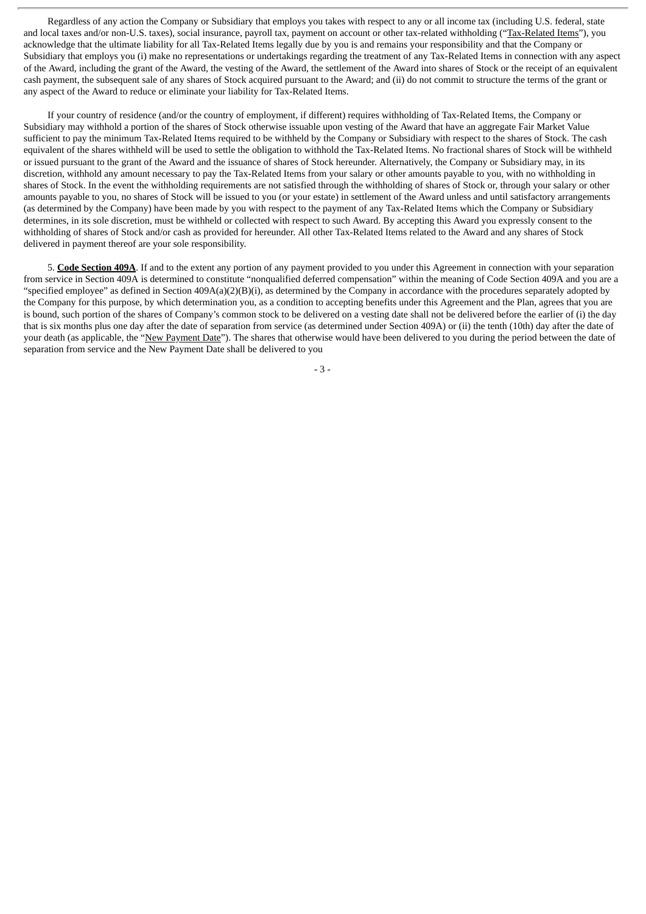Regardless of any action the Company or Subsidiary that employs you takes with respect to any or all income tax (including U.S. federal, state and local taxes and/or non-U.S. taxes), social insurance, payroll tax, payment on account or other tax-related withholding ("Tax-Related Items"), you acknowledge that the ultimate liability for all Tax-Related Items legally due by you is and remains your responsibility and that the Company or Subsidiary that employs you (i) make no representations or undertakings regarding the treatment of any Tax-Related Items in connection with any aspect of the Award, including the grant of the Award, the vesting of the Award, the settlement of the Award into shares of Stock or the receipt of an equivalent cash payment, the subsequent sale of any shares of Stock acquired pursuant to the Award; and (ii) do not commit to structure the terms of the grant or any aspect of the Award to reduce or eliminate your liability for Tax-Related Items.

If your country of residence (and/or the country of employment, if different) requires withholding of Tax-Related Items, the Company or Subsidiary may withhold a portion of the shares of Stock otherwise issuable upon vesting of the Award that have an aggregate Fair Market Value sufficient to pay the minimum Tax-Related Items required to be withheld by the Company or Subsidiary with respect to the shares of Stock. The cash equivalent of the shares withheld will be used to settle the obligation to withhold the Tax-Related Items. No fractional shares of Stock will be withheld or issued pursuant to the grant of the Award and the issuance of shares of Stock hereunder. Alternatively, the Company or Subsidiary may, in its discretion, withhold any amount necessary to pay the Tax-Related Items from your salary or other amounts payable to you, with no withholding in shares of Stock. In the event the withholding requirements are not satisfied through the withholding of shares of Stock or, through your salary or other amounts payable to you, no shares of Stock will be issued to you (or your estate) in settlement of the Award unless and until satisfactory arrangements (as determined by the Company) have been made by you with respect to the payment of any Tax-Related Items which the Company or Subsidiary determines, in its sole discretion, must be withheld or collected with respect to such Award. By accepting this Award you expressly consent to the withholding of shares of Stock and/or cash as provided for hereunder. All other Tax-Related Items related to the Award and any shares of Stock delivered in payment thereof are your sole responsibility.

5. **Code Section 409A**. If and to the extent any portion of any payment provided to you under this Agreement in connection with your separation from service in Section 409A is determined to constitute "nonqualified deferred compensation" within the meaning of Code Section 409A and you are a "specified employee" as defined in Section 409A(a)(2)(B)(i), as determined by the Company in accordance with the procedures separately adopted by the Company for this purpose, by which determination you, as a condition to accepting benefits under this Agreement and the Plan, agrees that you are is bound, such portion of the shares of Company's common stock to be delivered on a vesting date shall not be delivered before the earlier of (i) the day that is six months plus one day after the date of separation from service (as determined under Section 409A) or (ii) the tenth (10th) day after the date of your death (as applicable, the "New Payment Date"). The shares that otherwise would have been delivered to you during the period between the date of separation from service and the New Payment Date shall be delivered to you

- 3 -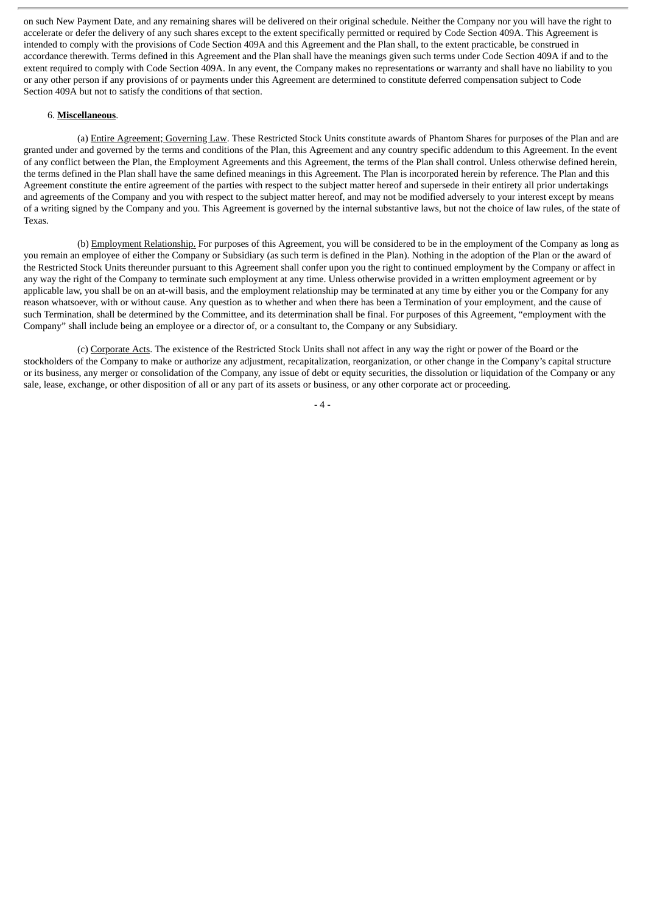on such New Payment Date, and any remaining shares will be delivered on their original schedule. Neither the Company nor you will have the right to accelerate or defer the delivery of any such shares except to the extent specifically permitted or required by Code Section 409A. This Agreement is intended to comply with the provisions of Code Section 409A and this Agreement and the Plan shall, to the extent practicable, be construed in accordance therewith. Terms defined in this Agreement and the Plan shall have the meanings given such terms under Code Section 409A if and to the extent required to comply with Code Section 409A. In any event, the Company makes no representations or warranty and shall have no liability to you or any other person if any provisions of or payments under this Agreement are determined to constitute deferred compensation subject to Code Section 409A but not to satisfy the conditions of that section.

#### 6. **Miscellaneous**.

(a) Entire Agreement; Governing Law. These Restricted Stock Units constitute awards of Phantom Shares for purposes of the Plan and are granted under and governed by the terms and conditions of the Plan, this Agreement and any country specific addendum to this Agreement. In the event of any conflict between the Plan, the Employment Agreements and this Agreement, the terms of the Plan shall control. Unless otherwise defined herein, the terms defined in the Plan shall have the same defined meanings in this Agreement. The Plan is incorporated herein by reference. The Plan and this Agreement constitute the entire agreement of the parties with respect to the subject matter hereof and supersede in their entirety all prior undertakings and agreements of the Company and you with respect to the subject matter hereof, and may not be modified adversely to your interest except by means of a writing signed by the Company and you. This Agreement is governed by the internal substantive laws, but not the choice of law rules, of the state of Texas.

(b) Employment Relationship. For purposes of this Agreement, you will be considered to be in the employment of the Company as long as you remain an employee of either the Company or Subsidiary (as such term is defined in the Plan). Nothing in the adoption of the Plan or the award of the Restricted Stock Units thereunder pursuant to this Agreement shall confer upon you the right to continued employment by the Company or affect in any way the right of the Company to terminate such employment at any time. Unless otherwise provided in a written employment agreement or by applicable law, you shall be on an at-will basis, and the employment relationship may be terminated at any time by either you or the Company for any reason whatsoever, with or without cause. Any question as to whether and when there has been a Termination of your employment, and the cause of such Termination, shall be determined by the Committee, and its determination shall be final. For purposes of this Agreement, "employment with the Company" shall include being an employee or a director of, or a consultant to, the Company or any Subsidiary.

(c) Corporate Acts. The existence of the Restricted Stock Units shall not affect in any way the right or power of the Board or the stockholders of the Company to make or authorize any adjustment, recapitalization, reorganization, or other change in the Company's capital structure or its business, any merger or consolidation of the Company, any issue of debt or equity securities, the dissolution or liquidation of the Company or any sale, lease, exchange, or other disposition of all or any part of its assets or business, or any other corporate act or proceeding.

- 4 -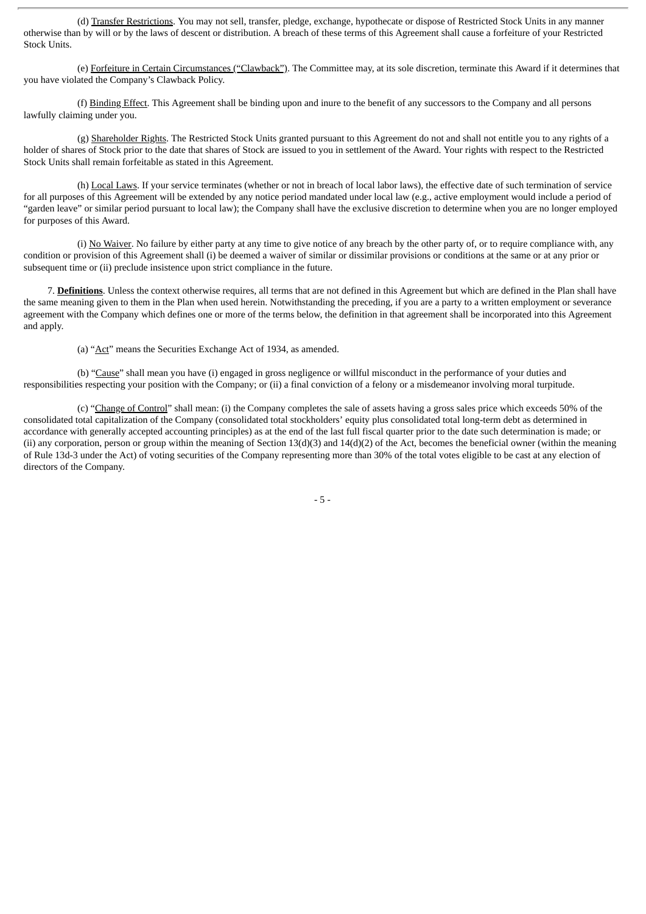(d) Transfer Restrictions. You may not sell, transfer, pledge, exchange, hypothecate or dispose of Restricted Stock Units in any manner otherwise than by will or by the laws of descent or distribution. A breach of these terms of this Agreement shall cause a forfeiture of your Restricted Stock Units.

(e) Forfeiture in Certain Circumstances ("Clawback"). The Committee may, at its sole discretion, terminate this Award if it determines that you have violated the Company's Clawback Policy.

(f) Binding Effect. This Agreement shall be binding upon and inure to the benefit of any successors to the Company and all persons lawfully claiming under you.

(g) Shareholder Rights. The Restricted Stock Units granted pursuant to this Agreement do not and shall not entitle you to any rights of a holder of shares of Stock prior to the date that shares of Stock are issued to you in settlement of the Award. Your rights with respect to the Restricted Stock Units shall remain forfeitable as stated in this Agreement.

(h) Local Laws. If your service terminates (whether or not in breach of local labor laws), the effective date of such termination of service for all purposes of this Agreement will be extended by any notice period mandated under local law (e.g., active employment would include a period of "garden leave" or similar period pursuant to local law); the Company shall have the exclusive discretion to determine when you are no longer employed for purposes of this Award.

(i) No Waiver. No failure by either party at any time to give notice of any breach by the other party of, or to require compliance with, any condition or provision of this Agreement shall (i) be deemed a waiver of similar or dissimilar provisions or conditions at the same or at any prior or subsequent time or (ii) preclude insistence upon strict compliance in the future.

7. **Definitions**. Unless the context otherwise requires, all terms that are not defined in this Agreement but which are defined in the Plan shall have the same meaning given to them in the Plan when used herein. Notwithstanding the preceding, if you are a party to a written employment or severance agreement with the Company which defines one or more of the terms below, the definition in that agreement shall be incorporated into this Agreement and apply.

(a) "Act" means the Securities Exchange Act of 1934, as amended.

(b) "Cause" shall mean you have (i) engaged in gross negligence or willful misconduct in the performance of your duties and responsibilities respecting your position with the Company; or (ii) a final conviction of a felony or a misdemeanor involving moral turpitude.

(c) "Change of Control" shall mean: (i) the Company completes the sale of assets having a gross sales price which exceeds 50% of the consolidated total capitalization of the Company (consolidated total stockholders' equity plus consolidated total long-term debt as determined in accordance with generally accepted accounting principles) as at the end of the last full fiscal quarter prior to the date such determination is made; or (ii) any corporation, person or group within the meaning of Section 13(d)(3) and 14(d)(2) of the Act, becomes the beneficial owner (within the meaning of Rule 13d-3 under the Act) of voting securities of the Company representing more than 30% of the total votes eligible to be cast at any election of directors of the Company.

- 5 -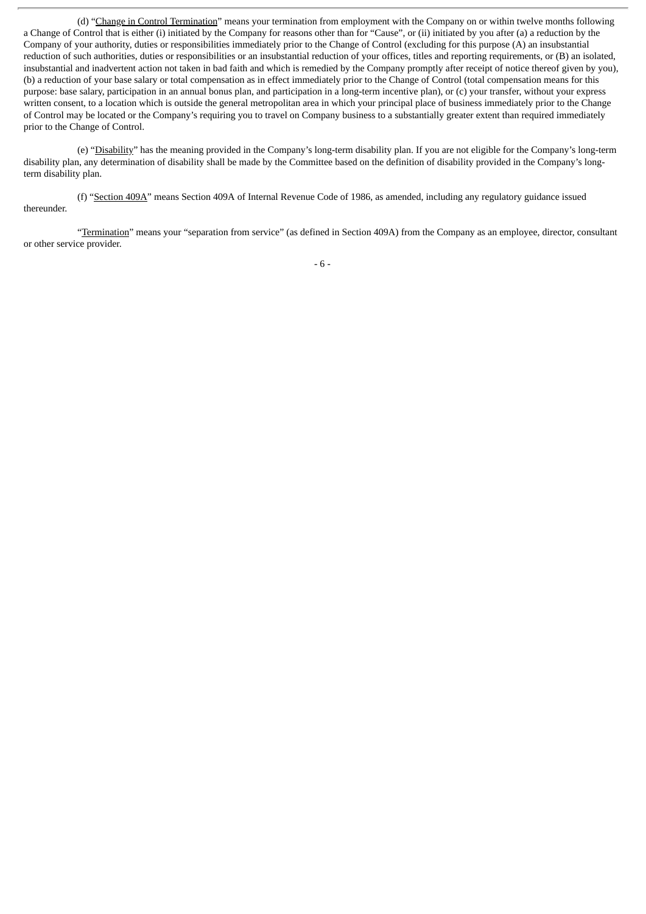(d) "Change in Control Termination" means your termination from employment with the Company on or within twelve months following a Change of Control that is either (i) initiated by the Company for reasons other than for "Cause", or (ii) initiated by you after (a) a reduction by the Company of your authority, duties or responsibilities immediately prior to the Change of Control (excluding for this purpose (A) an insubstantial reduction of such authorities, duties or responsibilities or an insubstantial reduction of your offices, titles and reporting requirements, or (B) an isolated, insubstantial and inadvertent action not taken in bad faith and which is remedied by the Company promptly after receipt of notice thereof given by you), (b) a reduction of your base salary or total compensation as in effect immediately prior to the Change of Control (total compensation means for this purpose: base salary, participation in an annual bonus plan, and participation in a long-term incentive plan), or (c) your transfer, without your express written consent, to a location which is outside the general metropolitan area in which your principal place of business immediately prior to the Change of Control may be located or the Company's requiring you to travel on Company business to a substantially greater extent than required immediately prior to the Change of Control.

(e) "Disability" has the meaning provided in the Company's long-term disability plan. If you are not eligible for the Company's long-term disability plan, any determination of disability shall be made by the Committee based on the definition of disability provided in the Company's longterm disability plan.

(f) "Section 409A" means Section 409A of Internal Revenue Code of 1986, as amended, including any regulatory guidance issued thereunder.

"Termination" means your "separation from service" (as defined in Section 409A) from the Company as an employee, director, consultant or other service provider.

- 6 -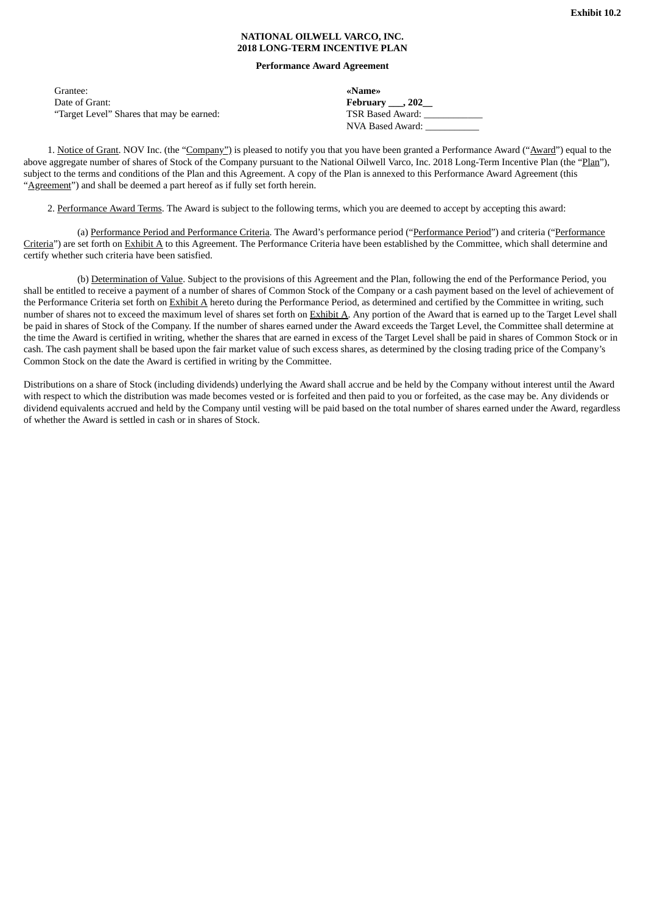#### **NATIONAL OILWELL VARCO, INC. 2018 LONG-TERM INCENTIVE PLAN**

#### **Performance Award Agreement**

<span id="page-9-0"></span>

| Grantee:                                  | «Name»                       |
|-------------------------------------------|------------------------------|
| Date of Grant:                            | February $\_\_$ , 202 $\_\_$ |
| "Target Level" Shares that may be earned: | TSR Based Award:             |
|                                           | NVA Based Award:             |

1. Notice of Grant. NOV Inc. (the "Company") is pleased to notify you that you have been granted a Performance Award ("Award") equal to the above aggregate number of shares of Stock of the Company pursuant to the National Oilwell Varco, Inc. 2018 Long-Term Incentive Plan (the "Plan"), subject to the terms and conditions of the Plan and this Agreement. A copy of the Plan is annexed to this Performance Award Agreement (this "Agreement") and shall be deemed a part hereof as if fully set forth herein.

2. Performance Award Terms. The Award is subject to the following terms, which you are deemed to accept by accepting this award:

(a) Performance Period and Performance Criteria. The Award's performance period ("Performance Period") and criteria ("Performance Criteria") are set forth on Exhibit A to this Agreement. The Performance Criteria have been established by the Committee, which shall determine and certify whether such criteria have been satisfied.

(b) Determination of Value. Subject to the provisions of this Agreement and the Plan, following the end of the Performance Period, you shall be entitled to receive a payment of a number of shares of Common Stock of the Company or a cash payment based on the level of achievement of the Performance Criteria set forth on Exhibit A hereto during the Performance Period, as determined and certified by the Committee in writing, such number of shares not to exceed the maximum level of shares set forth on Exhibit A. Any portion of the Award that is earned up to the Target Level shall be paid in shares of Stock of the Company. If the number of shares earned under the Award exceeds the Target Level, the Committee shall determine at the time the Award is certified in writing, whether the shares that are earned in excess of the Target Level shall be paid in shares of Common Stock or in cash. The cash payment shall be based upon the fair market value of such excess shares, as determined by the closing trading price of the Company's Common Stock on the date the Award is certified in writing by the Committee.

Distributions on a share of Stock (including dividends) underlying the Award shall accrue and be held by the Company without interest until the Award with respect to which the distribution was made becomes vested or is forfeited and then paid to you or forfeited, as the case may be. Any dividends or dividend equivalents accrued and held by the Company until vesting will be paid based on the total number of shares earned under the Award, regardless of whether the Award is settled in cash or in shares of Stock.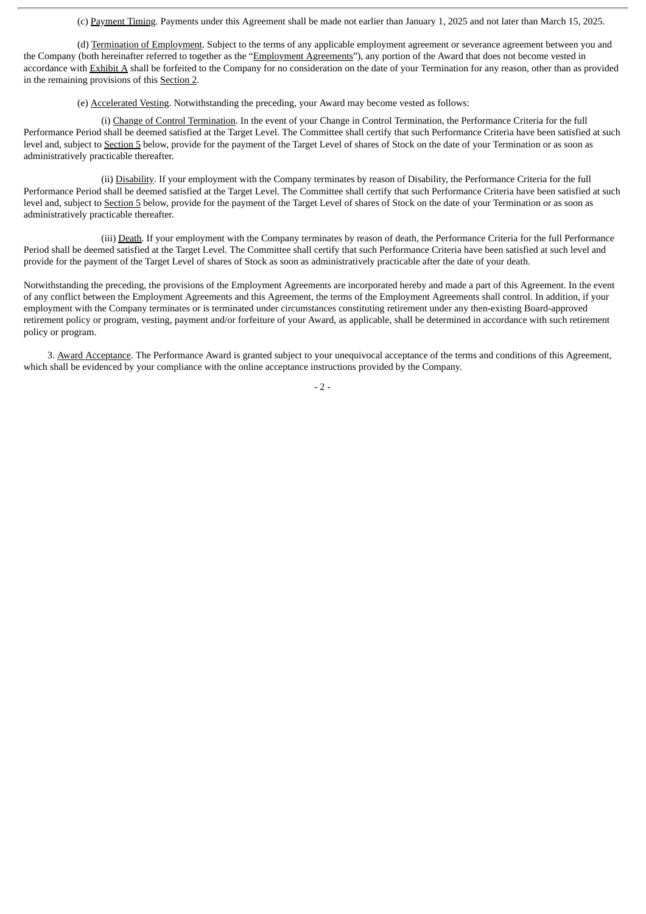(c) Payment Timing. Payments under this Agreement shall be made not earlier than January 1, 2025 and not later than March 15, 2025.

(d) Termination of Employment. Subject to the terms of any applicable employment agreement or severance agreement between you and the Company (both hereinafter referred to together as the "Employment Agreements"), any portion of the Award that does not become vested in accordance with Exhibit A shall be forfeited to the Company for no consideration on the date of your Termination for any reason, other than as provided in the remaining provisions of this Section 2.

(e) Accelerated Vesting. Notwithstanding the preceding, your Award may become vested as follows:

(i) Change of Control Termination. In the event of your Change in Control Termination, the Performance Criteria for the full Performance Period shall be deemed satisfied at the Target Level. The Committee shall certify that such Performance Criteria have been satisfied at such level and, subject to Section 5 below, provide for the payment of the Target Level of shares of Stock on the date of your Termination or as soon as administratively practicable thereafter.

(ii) Disability. If your employment with the Company terminates by reason of Disability, the Performance Criteria for the full Performance Period shall be deemed satisfied at the Target Level. The Committee shall certify that such Performance Criteria have been satisfied at such level and, subject to Section 5 below, provide for the payment of the Target Level of shares of Stock on the date of your Termination or as soon as administratively practicable thereafter.

(iii) Death. If your employment with the Company terminates by reason of death, the Performance Criteria for the full Performance Period shall be deemed satisfied at the Target Level. The Committee shall certify that such Performance Criteria have been satisfied at such level and provide for the payment of the Target Level of shares of Stock as soon as administratively practicable after the date of your death.

Notwithstanding the preceding, the provisions of the Employment Agreements are incorporated hereby and made a part of this Agreement. In the event of any conflict between the Employment Agreements and this Agreement, the terms of the Employment Agreements shall control. In addition, if your employment with the Company terminates or is terminated under circumstances constituting retirement under any then-existing Board-approved retirement policy or program, vesting, payment and/or forfeiture of your Award, as applicable, shall be determined in accordance with such retirement policy or program.

3. Award Acceptance. The Performance Award is granted subject to your unequivocal acceptance of the terms and conditions of this Agreement, which shall be evidenced by your compliance with the online acceptance instructions provided by the Company.

 $-2-$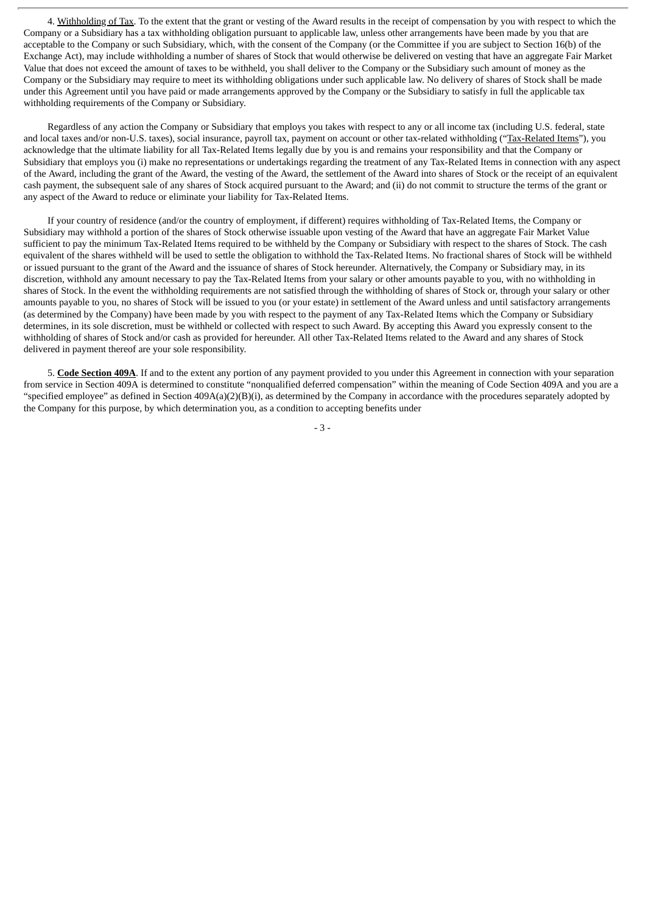4. Withholding of Tax. To the extent that the grant or vesting of the Award results in the receipt of compensation by you with respect to which the Company or a Subsidiary has a tax withholding obligation pursuant to applicable law, unless other arrangements have been made by you that are acceptable to the Company or such Subsidiary, which, with the consent of the Company (or the Committee if you are subject to Section 16(b) of the Exchange Act), may include withholding a number of shares of Stock that would otherwise be delivered on vesting that have an aggregate Fair Market Value that does not exceed the amount of taxes to be withheld, you shall deliver to the Company or the Subsidiary such amount of money as the Company or the Subsidiary may require to meet its withholding obligations under such applicable law. No delivery of shares of Stock shall be made under this Agreement until you have paid or made arrangements approved by the Company or the Subsidiary to satisfy in full the applicable tax withholding requirements of the Company or Subsidiary.

Regardless of any action the Company or Subsidiary that employs you takes with respect to any or all income tax (including U.S. federal, state and local taxes and/or non-U.S. taxes), social insurance, payroll tax, payment on account or other tax-related withholding ("Tax-Related Items"), you acknowledge that the ultimate liability for all Tax-Related Items legally due by you is and remains your responsibility and that the Company or Subsidiary that employs you (i) make no representations or undertakings regarding the treatment of any Tax-Related Items in connection with any aspect of the Award, including the grant of the Award, the vesting of the Award, the settlement of the Award into shares of Stock or the receipt of an equivalent cash payment, the subsequent sale of any shares of Stock acquired pursuant to the Award; and (ii) do not commit to structure the terms of the grant or any aspect of the Award to reduce or eliminate your liability for Tax-Related Items.

If your country of residence (and/or the country of employment, if different) requires withholding of Tax-Related Items, the Company or Subsidiary may withhold a portion of the shares of Stock otherwise issuable upon vesting of the Award that have an aggregate Fair Market Value sufficient to pay the minimum Tax-Related Items required to be withheld by the Company or Subsidiary with respect to the shares of Stock. The cash equivalent of the shares withheld will be used to settle the obligation to withhold the Tax-Related Items. No fractional shares of Stock will be withheld or issued pursuant to the grant of the Award and the issuance of shares of Stock hereunder. Alternatively, the Company or Subsidiary may, in its discretion, withhold any amount necessary to pay the Tax-Related Items from your salary or other amounts payable to you, with no withholding in shares of Stock. In the event the withholding requirements are not satisfied through the withholding of shares of Stock or, through your salary or other amounts payable to you, no shares of Stock will be issued to you (or your estate) in settlement of the Award unless and until satisfactory arrangements (as determined by the Company) have been made by you with respect to the payment of any Tax-Related Items which the Company or Subsidiary determines, in its sole discretion, must be withheld or collected with respect to such Award. By accepting this Award you expressly consent to the withholding of shares of Stock and/or cash as provided for hereunder. All other Tax-Related Items related to the Award and any shares of Stock delivered in payment thereof are your sole responsibility.

5. **Code Section 409A**. If and to the extent any portion of any payment provided to you under this Agreement in connection with your separation from service in Section 409A is determined to constitute "nonqualified deferred compensation" within the meaning of Code Section 409A and you are a "specified employee" as defined in Section 409A(a)(2)(B)(i), as determined by the Company in accordance with the procedures separately adopted by the Company for this purpose, by which determination you, as a condition to accepting benefits under

- 3 -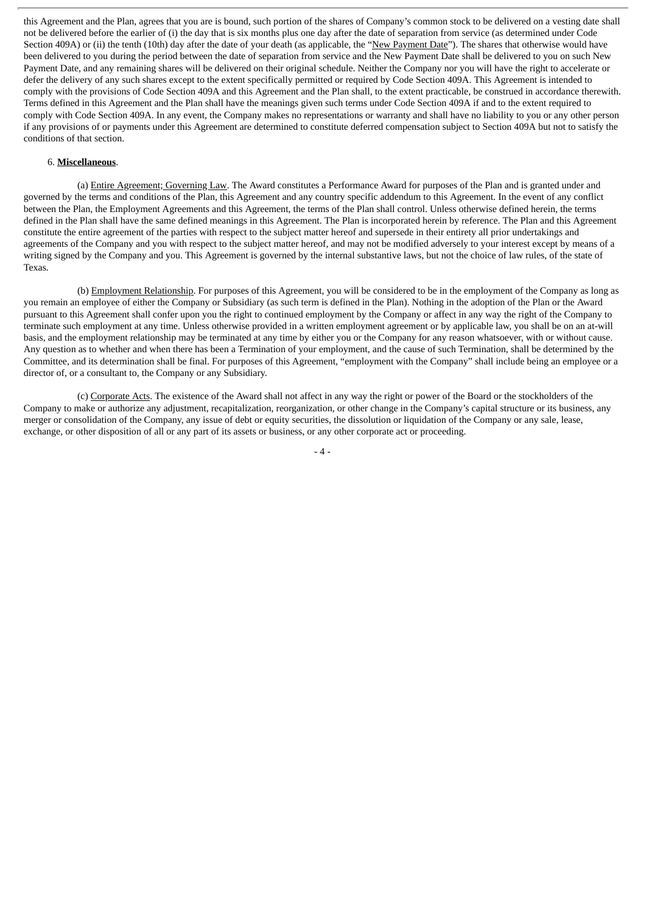this Agreement and the Plan, agrees that you are is bound, such portion of the shares of Company's common stock to be delivered on a vesting date shall not be delivered before the earlier of (i) the day that is six months plus one day after the date of separation from service (as determined under Code Section 409A) or (ii) the tenth (10th) day after the date of your death (as applicable, the "New Payment Date"). The shares that otherwise would have been delivered to you during the period between the date of separation from service and the New Payment Date shall be delivered to you on such New Payment Date, and any remaining shares will be delivered on their original schedule. Neither the Company nor you will have the right to accelerate or defer the delivery of any such shares except to the extent specifically permitted or required by Code Section 409A. This Agreement is intended to comply with the provisions of Code Section 409A and this Agreement and the Plan shall, to the extent practicable, be construed in accordance therewith. Terms defined in this Agreement and the Plan shall have the meanings given such terms under Code Section 409A if and to the extent required to comply with Code Section 409A. In any event, the Company makes no representations or warranty and shall have no liability to you or any other person if any provisions of or payments under this Agreement are determined to constitute deferred compensation subject to Section 409A but not to satisfy the conditions of that section.

#### 6. **Miscellaneous**.

(a) Entire Agreement; Governing Law. The Award constitutes a Performance Award for purposes of the Plan and is granted under and governed by the terms and conditions of the Plan, this Agreement and any country specific addendum to this Agreement. In the event of any conflict between the Plan, the Employment Agreements and this Agreement, the terms of the Plan shall control. Unless otherwise defined herein, the terms defined in the Plan shall have the same defined meanings in this Agreement. The Plan is incorporated herein by reference. The Plan and this Agreement constitute the entire agreement of the parties with respect to the subject matter hereof and supersede in their entirety all prior undertakings and agreements of the Company and you with respect to the subject matter hereof, and may not be modified adversely to your interest except by means of a writing signed by the Company and you. This Agreement is governed by the internal substantive laws, but not the choice of law rules, of the state of Texas.

(b) Employment Relationship. For purposes of this Agreement, you will be considered to be in the employment of the Company as long as you remain an employee of either the Company or Subsidiary (as such term is defined in the Plan). Nothing in the adoption of the Plan or the Award pursuant to this Agreement shall confer upon you the right to continued employment by the Company or affect in any way the right of the Company to terminate such employment at any time. Unless otherwise provided in a written employment agreement or by applicable law, you shall be on an at-will basis, and the employment relationship may be terminated at any time by either you or the Company for any reason whatsoever, with or without cause. Any question as to whether and when there has been a Termination of your employment, and the cause of such Termination, shall be determined by the Committee, and its determination shall be final. For purposes of this Agreement, "employment with the Company" shall include being an employee or a director of, or a consultant to, the Company or any Subsidiary.

(c) Corporate Acts. The existence of the Award shall not affect in any way the right or power of the Board or the stockholders of the Company to make or authorize any adjustment, recapitalization, reorganization, or other change in the Company's capital structure or its business, any merger or consolidation of the Company, any issue of debt or equity securities, the dissolution or liquidation of the Company or any sale, lease, exchange, or other disposition of all or any part of its assets or business, or any other corporate act or proceeding.

 $-4-$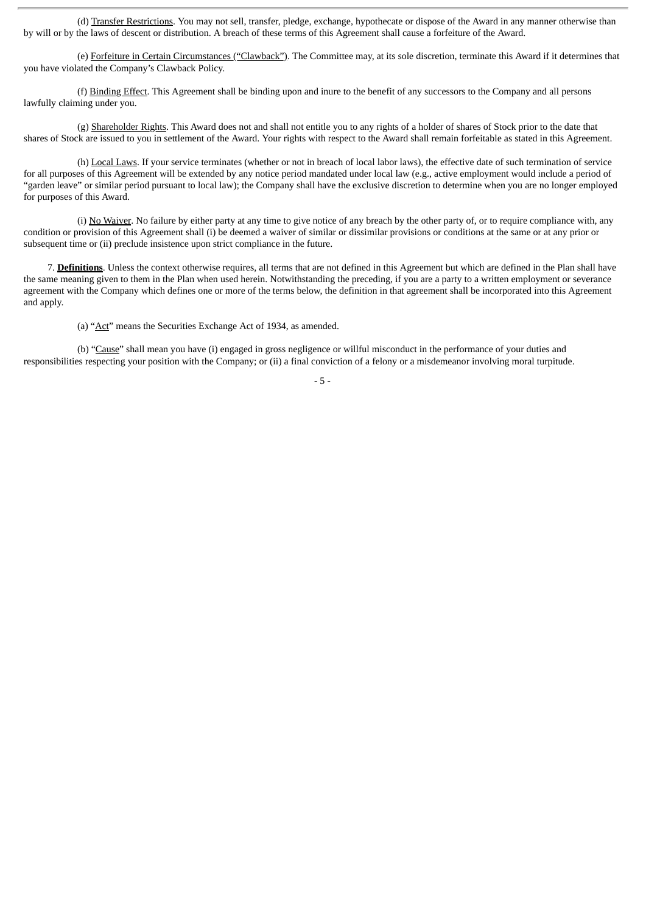(d) Transfer Restrictions. You may not sell, transfer, pledge, exchange, hypothecate or dispose of the Award in any manner otherwise than by will or by the laws of descent or distribution. A breach of these terms of this Agreement shall cause a forfeiture of the Award.

(e) Forfeiture in Certain Circumstances ("Clawback"). The Committee may, at its sole discretion, terminate this Award if it determines that you have violated the Company's Clawback Policy.

(f) Binding Effect. This Agreement shall be binding upon and inure to the benefit of any successors to the Company and all persons lawfully claiming under you.

(g) Shareholder Rights. This Award does not and shall not entitle you to any rights of a holder of shares of Stock prior to the date that shares of Stock are issued to you in settlement of the Award. Your rights with respect to the Award shall remain forfeitable as stated in this Agreement.

(h) Local Laws. If your service terminates (whether or not in breach of local labor laws), the effective date of such termination of service for all purposes of this Agreement will be extended by any notice period mandated under local law (e.g., active employment would include a period of "garden leave" or similar period pursuant to local law); the Company shall have the exclusive discretion to determine when you are no longer employed for purposes of this Award.

(i) No Waiver. No failure by either party at any time to give notice of any breach by the other party of, or to require compliance with, any condition or provision of this Agreement shall (i) be deemed a waiver of similar or dissimilar provisions or conditions at the same or at any prior or subsequent time or (ii) preclude insistence upon strict compliance in the future.

7. **Definitions**. Unless the context otherwise requires, all terms that are not defined in this Agreement but which are defined in the Plan shall have the same meaning given to them in the Plan when used herein. Notwithstanding the preceding, if you are a party to a written employment or severance agreement with the Company which defines one or more of the terms below, the definition in that agreement shall be incorporated into this Agreement and apply.

(a) "Act" means the Securities Exchange Act of 1934, as amended.

(b) "Cause" shall mean you have (i) engaged in gross negligence or willful misconduct in the performance of your duties and responsibilities respecting your position with the Company; or (ii) a final conviction of a felony or a misdemeanor involving moral turpitude.

- 5 -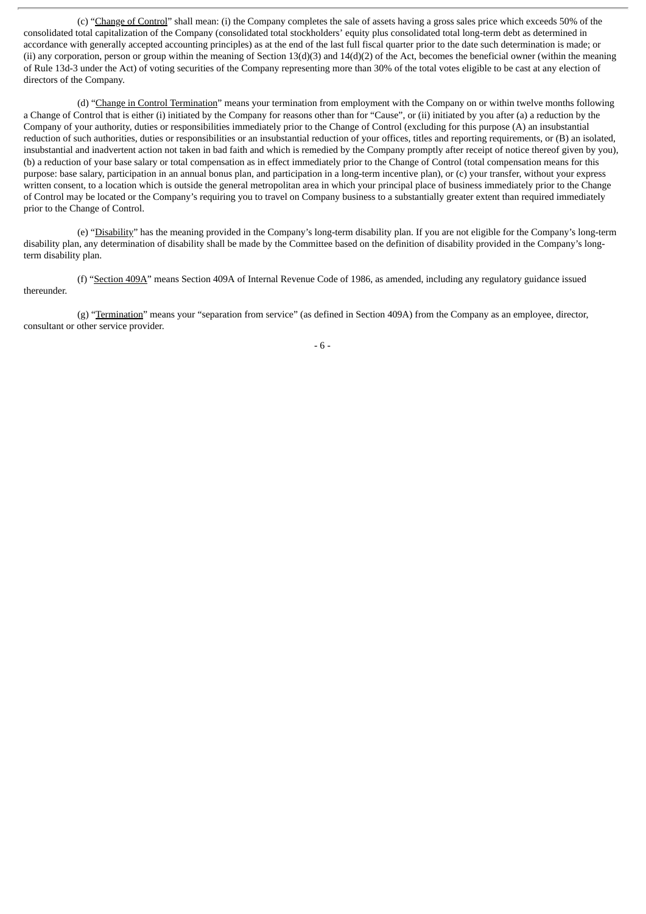(c) "Change of Control" shall mean: (i) the Company completes the sale of assets having a gross sales price which exceeds 50% of the consolidated total capitalization of the Company (consolidated total stockholders' equity plus consolidated total long-term debt as determined in accordance with generally accepted accounting principles) as at the end of the last full fiscal quarter prior to the date such determination is made; or (ii) any corporation, person or group within the meaning of Section  $13(d)(3)$  and  $14(d)(2)$  of the Act, becomes the beneficial owner (within the meaning of Rule 13d-3 under the Act) of voting securities of the Company representing more than 30% of the total votes eligible to be cast at any election of directors of the Company.

(d) "Change in Control Termination" means your termination from employment with the Company on or within twelve months following a Change of Control that is either (i) initiated by the Company for reasons other than for "Cause", or (ii) initiated by you after (a) a reduction by the Company of your authority, duties or responsibilities immediately prior to the Change of Control (excluding for this purpose (A) an insubstantial reduction of such authorities, duties or responsibilities or an insubstantial reduction of your offices, titles and reporting requirements, or (B) an isolated, insubstantial and inadvertent action not taken in bad faith and which is remedied by the Company promptly after receipt of notice thereof given by you), (b) a reduction of your base salary or total compensation as in effect immediately prior to the Change of Control (total compensation means for this purpose: base salary, participation in an annual bonus plan, and participation in a long-term incentive plan), or (c) your transfer, without your express written consent, to a location which is outside the general metropolitan area in which your principal place of business immediately prior to the Change of Control may be located or the Company's requiring you to travel on Company business to a substantially greater extent than required immediately prior to the Change of Control.

(e) "Disability" has the meaning provided in the Company's long-term disability plan. If you are not eligible for the Company's long-term disability plan, any determination of disability shall be made by the Committee based on the definition of disability provided in the Company's longterm disability plan.

(f) "Section 409A" means Section 409A of Internal Revenue Code of 1986, as amended, including any regulatory guidance issued thereunder.

(g) "Termination" means your "separation from service" (as defined in Section 409A) from the Company as an employee, director, consultant or other service provider.

- 6 -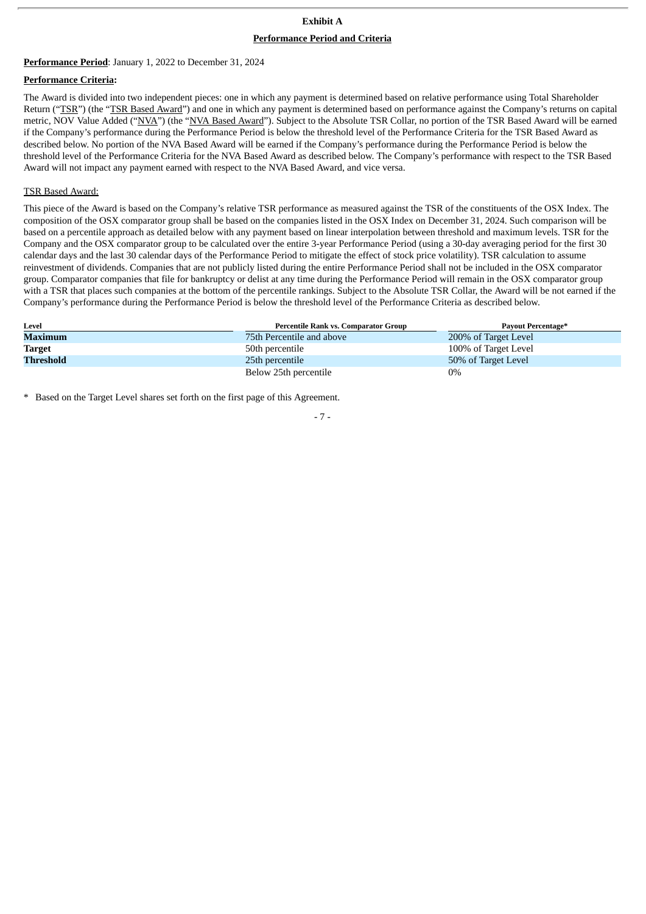### **Exhibit A**

#### **Performance Period and Criteria**

#### **Performance Period**: January 1, 2022 to December 31, 2024

#### **Performance Criteria:**

The Award is divided into two independent pieces: one in which any payment is determined based on relative performance using Total Shareholder Return ("TSR") (the "TSR Based Award") and one in which any payment is determined based on performance against the Company's returns on capital metric, NOV Value Added ("NVA") (the "NVA Based Award"). Subject to the Absolute TSR Collar, no portion of the TSR Based Award will be earned if the Company's performance during the Performance Period is below the threshold level of the Performance Criteria for the TSR Based Award as described below. No portion of the NVA Based Award will be earned if the Company's performance during the Performance Period is below the threshold level of the Performance Criteria for the NVA Based Award as described below. The Company's performance with respect to the TSR Based Award will not impact any payment earned with respect to the NVA Based Award, and vice versa.

#### TSR Based Award:

This piece of the Award is based on the Company's relative TSR performance as measured against the TSR of the constituents of the OSX Index. The composition of the OSX comparator group shall be based on the companies listed in the OSX Index on December 31, 2024. Such comparison will be based on a percentile approach as detailed below with any payment based on linear interpolation between threshold and maximum levels. TSR for the Company and the OSX comparator group to be calculated over the entire 3-year Performance Period (using a 30-day averaging period for the first 30 calendar days and the last 30 calendar days of the Performance Period to mitigate the effect of stock price volatility). TSR calculation to assume reinvestment of dividends. Companies that are not publicly listed during the entire Performance Period shall not be included in the OSX comparator group. Comparator companies that file for bankruptcy or delist at any time during the Performance Period will remain in the OSX comparator group with a TSR that places such companies at the bottom of the percentile rankings. Subject to the Absolute TSR Collar, the Award will be not earned if the Company's performance during the Performance Period is below the threshold level of the Performance Criteria as described below.

| Level         | <b>Percentile Rank vs. Comparator Group</b> | Payout Percentage*   |
|---------------|---------------------------------------------|----------------------|
| Maximum       | 75th Percentile and above                   | 200% of Target Level |
| <b>Target</b> | 50th percentile                             | 100% of Target Level |
| Threshold     | 25th percentile                             | 50% of Target Level  |
|               | Below 25th percentile                       | $0\%$                |

\* Based on the Target Level shares set forth on the first page of this Agreement.

- 7 -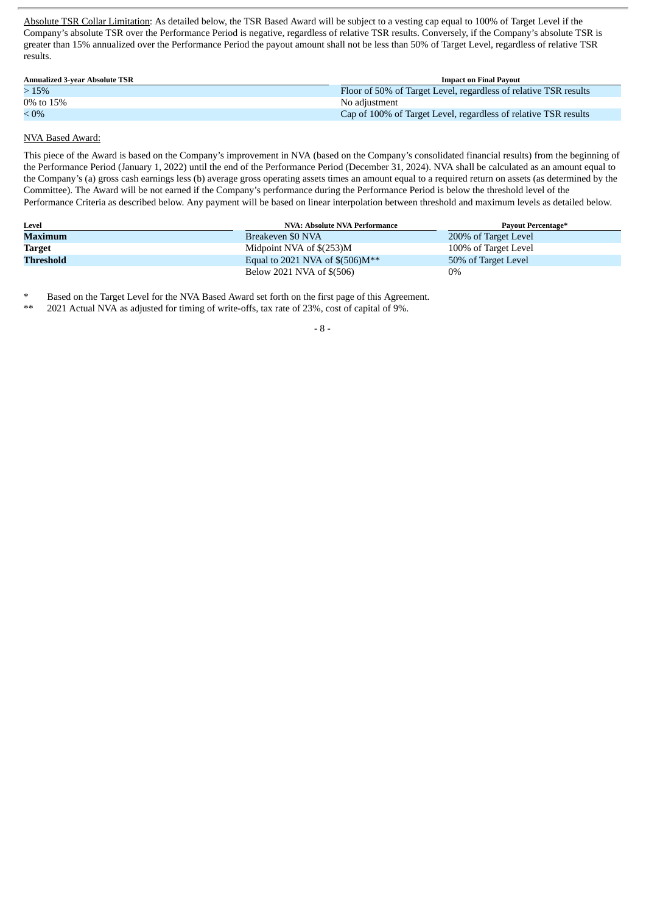Absolute TSR Collar Limitation: As detailed below, the TSR Based Award will be subject to a vesting cap equal to 100% of Target Level if the Company's absolute TSR over the Performance Period is negative, regardless of relative TSR results. Conversely, if the Company's absolute TSR is greater than 15% annualized over the Performance Period the payout amount shall not be less than 50% of Target Level, regardless of relative TSR results.

| <b>Annualized 3-year Absolute TSR</b> | <b>Impact on Final Pavout</b>                                    |
|---------------------------------------|------------------------------------------------------------------|
| >15%                                  | Floor of 50% of Target Level, regardless of relative TSR results |
| 0% to 15%                             | No adiustment                                                    |
| $< 0\%$                               | Cap of 100% of Target Level, regardless of relative TSR results  |

### NVA Based Award:

This piece of the Award is based on the Company's improvement in NVA (based on the Company's consolidated financial results) from the beginning of the Performance Period (January 1, 2022) until the end of the Performance Period (December 31, 2024). NVA shall be calculated as an amount equal to the Company's (a) gross cash earnings less (b) average gross operating assets times an amount equal to a required return on assets (as determined by the Committee). The Award will be not earned if the Company's performance during the Performance Period is below the threshold level of the Performance Criteria as described below. Any payment will be based on linear interpolation between threshold and maximum levels as detailed below.

| Level     | NVA: Absolute NVA Performance         | <b>Payout Percentage*</b> |
|-----------|---------------------------------------|---------------------------|
| Maximum   | Breakeven \$0 NVA                     | 200% of Target Level      |
| Target    | Midpoint NVA of \$(253)M              | 100% of Target Level      |
| Threshold | Equal to 2021 NVA of $\$(506)M^{**}$$ | 50% of Target Level       |
|           | Below 2021 NVA of \$(506)             | $0\%$                     |

\* Based on the Target Level for the NVA Based Award set forth on the first page of this Agreement.

\*\* 2021 Actual NVA as adjusted for timing of write-offs, tax rate of 23%, cost of capital of 9%.

- 8 -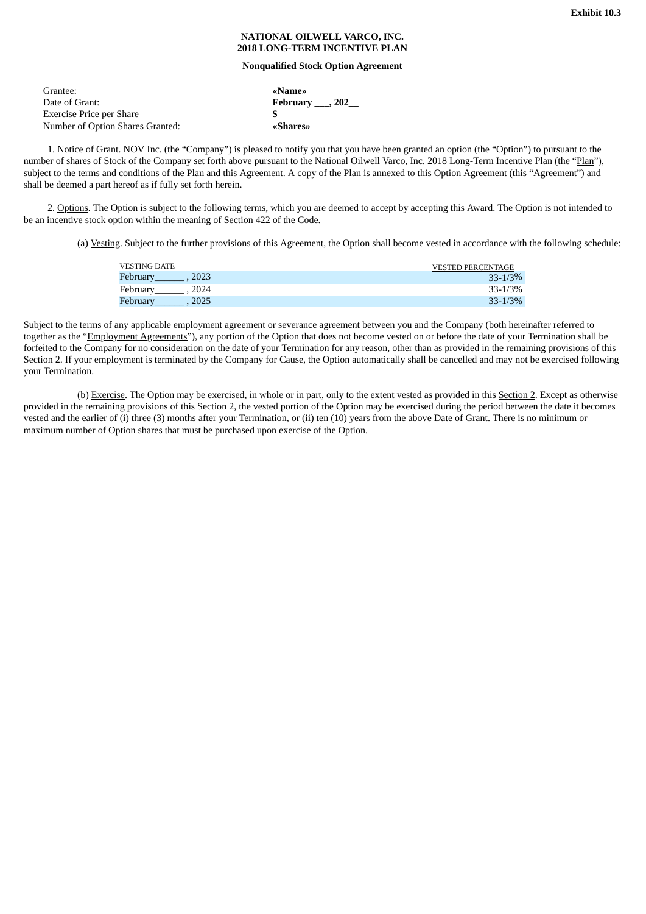#### **NATIONAL OILWELL VARCO, INC. 2018 LONG-TERM INCENTIVE PLAN**

#### **Nonqualified Stock Option Agreement**

<span id="page-17-0"></span>

| Grantee:                         | «Name»                       |
|----------------------------------|------------------------------|
| Date of Grant:                   | February $\_\_$ , 202 $\_\_$ |
| Exercise Price per Share         |                              |
| Number of Option Shares Granted: | «Shares»                     |

1. Notice of Grant. NOV Inc. (the "Company") is pleased to notify you that you have been granted an option (the "Option") to pursuant to the number of shares of Stock of the Company set forth above pursuant to the National Oilwell Varco, Inc. 2018 Long-Term Incentive Plan (the "Plan"), subject to the terms and conditions of the Plan and this Agreement. A copy of the Plan is annexed to this Option Agreement (this "Agreement") and shall be deemed a part hereof as if fully set forth herein.

2. Options. The Option is subject to the following terms, which you are deemed to accept by accepting this Award. The Option is not intended to be an incentive stock option within the meaning of Section 422 of the Code.

(a) Vesting. Subject to the further provisions of this Agreement, the Option shall become vested in accordance with the following schedule:

| <b>VESTING DATE</b> | <b>VESTED PERCENTAGE</b> |
|---------------------|--------------------------|
| Februarv<br>2023    | $33 - 1/3%$              |
| 2024<br>February    | 33-1/3%                  |
| Februarv<br>2025    | $33 - 1/3%$              |

Subject to the terms of any applicable employment agreement or severance agreement between you and the Company (both hereinafter referred to together as the "Employment Agreements"), any portion of the Option that does not become vested on or before the date of your Termination shall be forfeited to the Company for no consideration on the date of your Termination for any reason, other than as provided in the remaining provisions of this Section 2. If your employment is terminated by the Company for Cause, the Option automatically shall be cancelled and may not be exercised following your Termination.

(b) Exercise. The Option may be exercised, in whole or in part, only to the extent vested as provided in this Section 2. Except as otherwise provided in the remaining provisions of this Section 2, the vested portion of the Option may be exercised during the period between the date it becomes vested and the earlier of (i) three (3) months after your Termination, or (ii) ten (10) years from the above Date of Grant. There is no minimum or maximum number of Option shares that must be purchased upon exercise of the Option.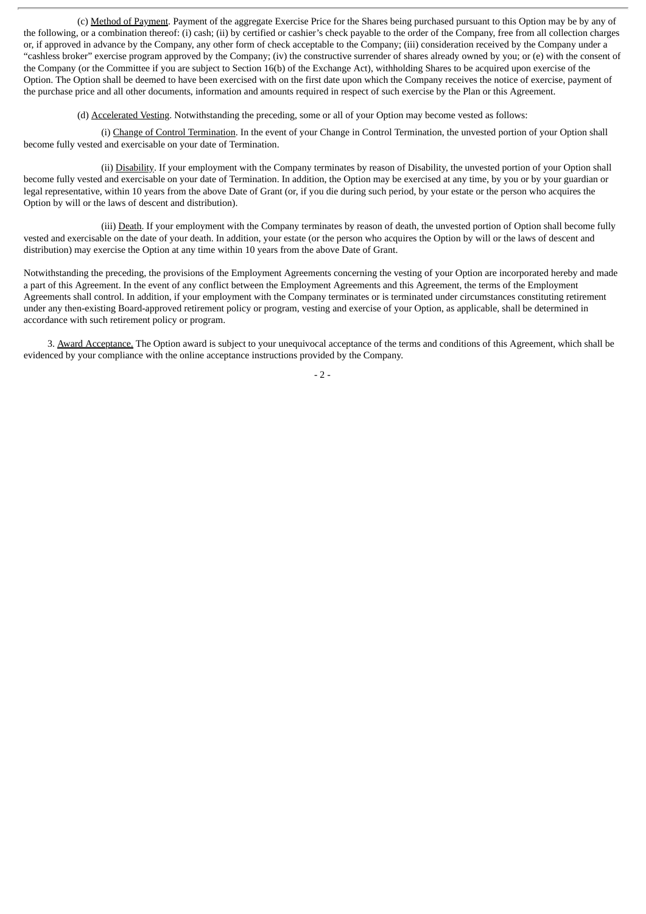(c) Method of Payment. Payment of the aggregate Exercise Price for the Shares being purchased pursuant to this Option may be by any of the following, or a combination thereof: (i) cash; (ii) by certified or cashier's check payable to the order of the Company, free from all collection charges or, if approved in advance by the Company, any other form of check acceptable to the Company; (iii) consideration received by the Company under a "cashless broker" exercise program approved by the Company; (iv) the constructive surrender of shares already owned by you; or (e) with the consent of the Company (or the Committee if you are subject to Section 16(b) of the Exchange Act), withholding Shares to be acquired upon exercise of the Option. The Option shall be deemed to have been exercised with on the first date upon which the Company receives the notice of exercise, payment of the purchase price and all other documents, information and amounts required in respect of such exercise by the Plan or this Agreement.

(d) Accelerated Vesting. Notwithstanding the preceding, some or all of your Option may become vested as follows:

(i) Change of Control Termination. In the event of your Change in Control Termination, the unvested portion of your Option shall become fully vested and exercisable on your date of Termination.

(ii) Disability. If your employment with the Company terminates by reason of Disability, the unvested portion of your Option shall become fully vested and exercisable on your date of Termination. In addition, the Option may be exercised at any time, by you or by your guardian or legal representative, within 10 years from the above Date of Grant (or, if you die during such period, by your estate or the person who acquires the Option by will or the laws of descent and distribution).

(iii) Death. If your employment with the Company terminates by reason of death, the unvested portion of Option shall become fully vested and exercisable on the date of your death. In addition, your estate (or the person who acquires the Option by will or the laws of descent and distribution) may exercise the Option at any time within 10 years from the above Date of Grant.

Notwithstanding the preceding, the provisions of the Employment Agreements concerning the vesting of your Option are incorporated hereby and made a part of this Agreement. In the event of any conflict between the Employment Agreements and this Agreement, the terms of the Employment Agreements shall control. In addition, if your employment with the Company terminates or is terminated under circumstances constituting retirement under any then-existing Board-approved retirement policy or program, vesting and exercise of your Option, as applicable, shall be determined in accordance with such retirement policy or program.

3. Award Acceptance. The Option award is subject to your unequivocal acceptance of the terms and conditions of this Agreement, which shall be evidenced by your compliance with the online acceptance instructions provided by the Company.

 $-2 -$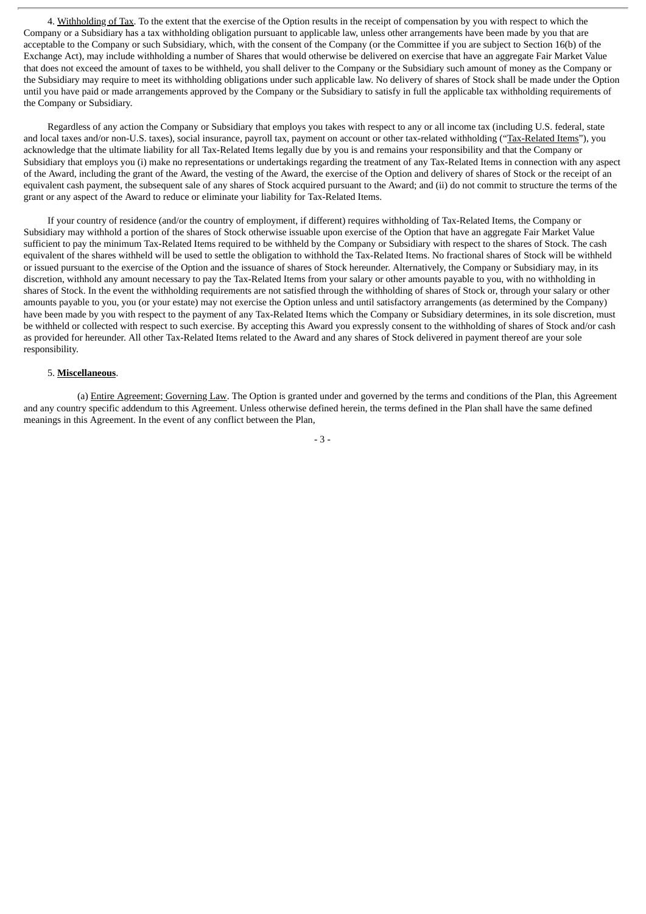4. Withholding of Tax. To the extent that the exercise of the Option results in the receipt of compensation by you with respect to which the Company or a Subsidiary has a tax withholding obligation pursuant to applicable law, unless other arrangements have been made by you that are acceptable to the Company or such Subsidiary, which, with the consent of the Company (or the Committee if you are subject to Section 16(b) of the Exchange Act), may include withholding a number of Shares that would otherwise be delivered on exercise that have an aggregate Fair Market Value that does not exceed the amount of taxes to be withheld, you shall deliver to the Company or the Subsidiary such amount of money as the Company or the Subsidiary may require to meet its withholding obligations under such applicable law. No delivery of shares of Stock shall be made under the Option until you have paid or made arrangements approved by the Company or the Subsidiary to satisfy in full the applicable tax withholding requirements of the Company or Subsidiary.

Regardless of any action the Company or Subsidiary that employs you takes with respect to any or all income tax (including U.S. federal, state and local taxes and/or non-U.S. taxes), social insurance, payroll tax, payment on account or other tax-related withholding ("Tax-Related Items"), you acknowledge that the ultimate liability for all Tax-Related Items legally due by you is and remains your responsibility and that the Company or Subsidiary that employs you (i) make no representations or undertakings regarding the treatment of any Tax-Related Items in connection with any aspect of the Award, including the grant of the Award, the vesting of the Award, the exercise of the Option and delivery of shares of Stock or the receipt of an equivalent cash payment, the subsequent sale of any shares of Stock acquired pursuant to the Award; and (ii) do not commit to structure the terms of the grant or any aspect of the Award to reduce or eliminate your liability for Tax-Related Items.

If your country of residence (and/or the country of employment, if different) requires withholding of Tax-Related Items, the Company or Subsidiary may withhold a portion of the shares of Stock otherwise issuable upon exercise of the Option that have an aggregate Fair Market Value sufficient to pay the minimum Tax-Related Items required to be withheld by the Company or Subsidiary with respect to the shares of Stock. The cash equivalent of the shares withheld will be used to settle the obligation to withhold the Tax-Related Items. No fractional shares of Stock will be withheld or issued pursuant to the exercise of the Option and the issuance of shares of Stock hereunder. Alternatively, the Company or Subsidiary may, in its discretion, withhold any amount necessary to pay the Tax-Related Items from your salary or other amounts payable to you, with no withholding in shares of Stock. In the event the withholding requirements are not satisfied through the withholding of shares of Stock or, through your salary or other amounts payable to you, you (or your estate) may not exercise the Option unless and until satisfactory arrangements (as determined by the Company) have been made by you with respect to the payment of any Tax-Related Items which the Company or Subsidiary determines, in its sole discretion, must be withheld or collected with respect to such exercise. By accepting this Award you expressly consent to the withholding of shares of Stock and/or cash as provided for hereunder. All other Tax-Related Items related to the Award and any shares of Stock delivered in payment thereof are your sole responsibility.

#### 5. **Miscellaneous**.

(a) Entire Agreement; Governing Law. The Option is granted under and governed by the terms and conditions of the Plan, this Agreement and any country specific addendum to this Agreement. Unless otherwise defined herein, the terms defined in the Plan shall have the same defined meanings in this Agreement. In the event of any conflict between the Plan,

- 3 -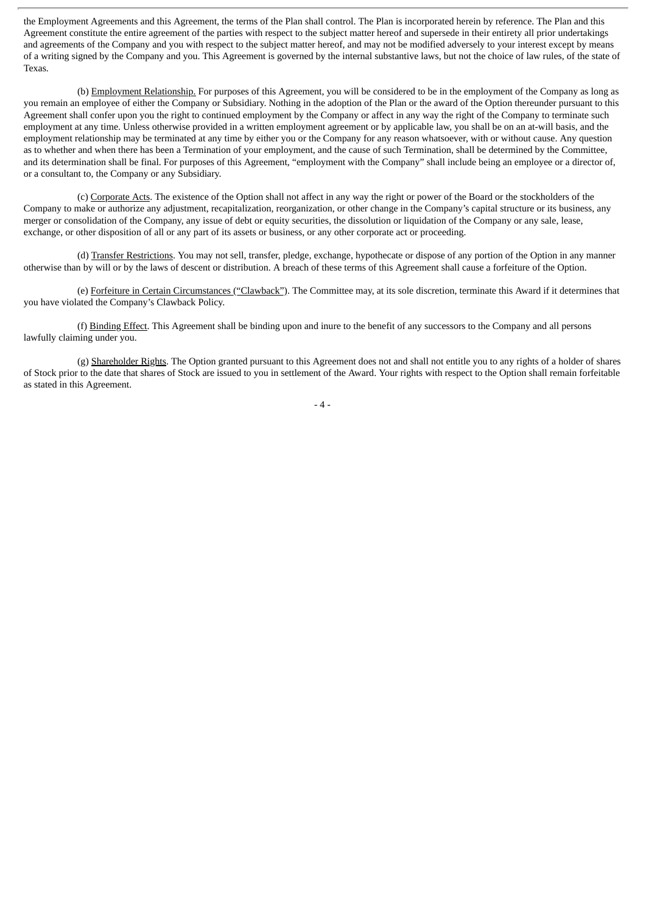the Employment Agreements and this Agreement, the terms of the Plan shall control. The Plan is incorporated herein by reference. The Plan and this Agreement constitute the entire agreement of the parties with respect to the subject matter hereof and supersede in their entirety all prior undertakings and agreements of the Company and you with respect to the subject matter hereof, and may not be modified adversely to your interest except by means of a writing signed by the Company and you. This Agreement is governed by the internal substantive laws, but not the choice of law rules, of the state of Texas.

(b) Employment Relationship. For purposes of this Agreement, you will be considered to be in the employment of the Company as long as you remain an employee of either the Company or Subsidiary. Nothing in the adoption of the Plan or the award of the Option thereunder pursuant to this Agreement shall confer upon you the right to continued employment by the Company or affect in any way the right of the Company to terminate such employment at any time. Unless otherwise provided in a written employment agreement or by applicable law, you shall be on an at-will basis, and the employment relationship may be terminated at any time by either you or the Company for any reason whatsoever, with or without cause. Any question as to whether and when there has been a Termination of your employment, and the cause of such Termination, shall be determined by the Committee, and its determination shall be final. For purposes of this Agreement, "employment with the Company" shall include being an employee or a director of, or a consultant to, the Company or any Subsidiary.

(c) Corporate Acts. The existence of the Option shall not affect in any way the right or power of the Board or the stockholders of the Company to make or authorize any adjustment, recapitalization, reorganization, or other change in the Company's capital structure or its business, any merger or consolidation of the Company, any issue of debt or equity securities, the dissolution or liquidation of the Company or any sale, lease, exchange, or other disposition of all or any part of its assets or business, or any other corporate act or proceeding.

(d) Transfer Restrictions. You may not sell, transfer, pledge, exchange, hypothecate or dispose of any portion of the Option in any manner otherwise than by will or by the laws of descent or distribution. A breach of these terms of this Agreement shall cause a forfeiture of the Option.

(e) Forfeiture in Certain Circumstances ("Clawback"). The Committee may, at its sole discretion, terminate this Award if it determines that you have violated the Company's Clawback Policy.

(f) Binding Effect. This Agreement shall be binding upon and inure to the benefit of any successors to the Company and all persons lawfully claiming under you.

(g) Shareholder Rights. The Option granted pursuant to this Agreement does not and shall not entitle you to any rights of a holder of shares of Stock prior to the date that shares of Stock are issued to you in settlement of the Award. Your rights with respect to the Option shall remain forfeitable as stated in this Agreement.

- 4 -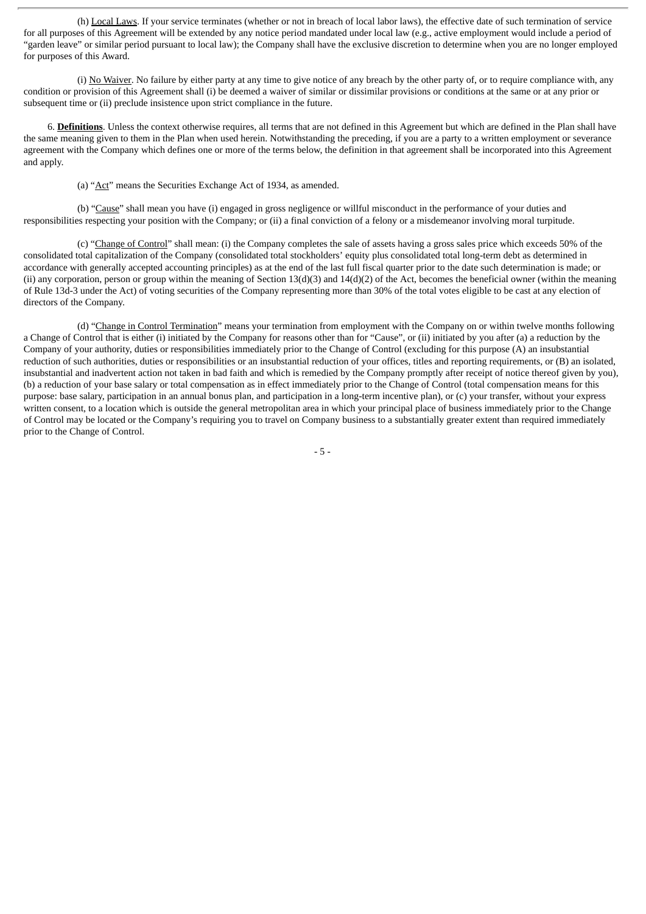(h) Local Laws. If your service terminates (whether or not in breach of local labor laws), the effective date of such termination of service for all purposes of this Agreement will be extended by any notice period mandated under local law (e.g., active employment would include a period of "garden leave" or similar period pursuant to local law); the Company shall have the exclusive discretion to determine when you are no longer employed for purposes of this Award.

(i) No Waiver. No failure by either party at any time to give notice of any breach by the other party of, or to require compliance with, any condition or provision of this Agreement shall (i) be deemed a waiver of similar or dissimilar provisions or conditions at the same or at any prior or subsequent time or (ii) preclude insistence upon strict compliance in the future.

6. **Definitions**. Unless the context otherwise requires, all terms that are not defined in this Agreement but which are defined in the Plan shall have the same meaning given to them in the Plan when used herein. Notwithstanding the preceding, if you are a party to a written employment or severance agreement with the Company which defines one or more of the terms below, the definition in that agreement shall be incorporated into this Agreement and apply.

(a) "Act" means the Securities Exchange Act of 1934, as amended.

(b) "Cause" shall mean you have (i) engaged in gross negligence or willful misconduct in the performance of your duties and responsibilities respecting your position with the Company; or (ii) a final conviction of a felony or a misdemeanor involving moral turpitude.

(c) "Change of Control" shall mean: (i) the Company completes the sale of assets having a gross sales price which exceeds 50% of the consolidated total capitalization of the Company (consolidated total stockholders' equity plus consolidated total long-term debt as determined in accordance with generally accepted accounting principles) as at the end of the last full fiscal quarter prior to the date such determination is made; or (ii) any corporation, person or group within the meaning of Section  $13(d)(3)$  and  $14(d)(2)$  of the Act, becomes the beneficial owner (within the meaning of Rule 13d-3 under the Act) of voting securities of the Company representing more than 30% of the total votes eligible to be cast at any election of directors of the Company.

(d) "Change in Control Termination" means your termination from employment with the Company on or within twelve months following a Change of Control that is either (i) initiated by the Company for reasons other than for "Cause", or (ii) initiated by you after (a) a reduction by the Company of your authority, duties or responsibilities immediately prior to the Change of Control (excluding for this purpose (A) an insubstantial reduction of such authorities, duties or responsibilities or an insubstantial reduction of your offices, titles and reporting requirements, or (B) an isolated, insubstantial and inadvertent action not taken in bad faith and which is remedied by the Company promptly after receipt of notice thereof given by you), (b) a reduction of your base salary or total compensation as in effect immediately prior to the Change of Control (total compensation means for this purpose: base salary, participation in an annual bonus plan, and participation in a long-term incentive plan), or (c) your transfer, without your express written consent, to a location which is outside the general metropolitan area in which your principal place of business immediately prior to the Change of Control may be located or the Company's requiring you to travel on Company business to a substantially greater extent than required immediately prior to the Change of Control.

- 5 -